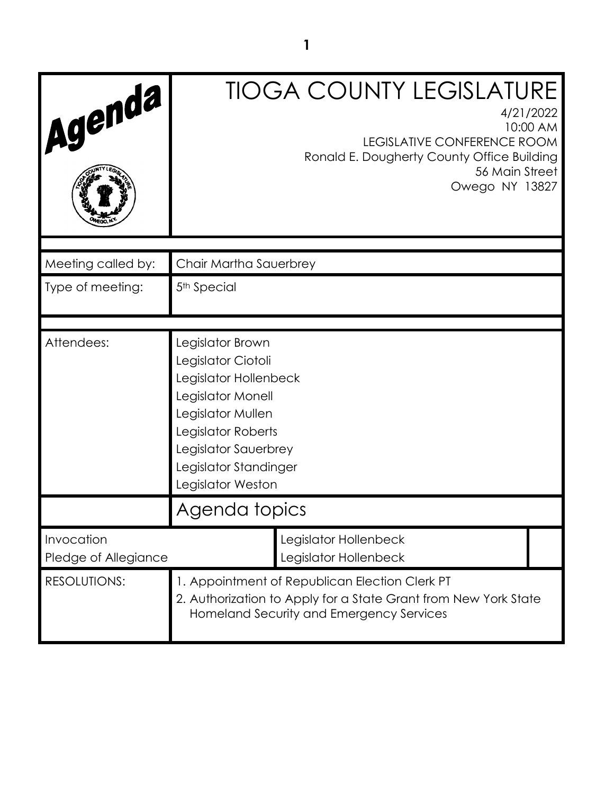| Agenda                             | <b>TIOGA COUNTY LEGISLATURE</b><br>4/21/2022<br>10:00 AM<br><b>LEGISLATIVE CONFERENCE ROOM</b><br>Ronald E. Dougherty County Office Building<br>56 Main Street<br>Owego NY 13827                      |                                                |
|------------------------------------|-------------------------------------------------------------------------------------------------------------------------------------------------------------------------------------------------------|------------------------------------------------|
| Meeting called by:                 | Chair Martha Sauerbrey                                                                                                                                                                                |                                                |
| Type of meeting:                   | 5 <sup>th</sup> Special                                                                                                                                                                               |                                                |
|                                    |                                                                                                                                                                                                       |                                                |
| Attendees:                         | Legislator Brown<br>Legislator Ciotoli<br>Legislator Hollenbeck<br>Legislator Monell<br>Legislator Mullen<br>Legislator Roberts<br>Legislator Sauerbrey<br>Legislator Standinger<br>Legislator Weston |                                                |
|                                    | Agenda topics                                                                                                                                                                                         |                                                |
| Invocation<br>Pledge of Allegiance |                                                                                                                                                                                                       | Legislator Hollenbeck<br>Legislator Hollenbeck |
| <b>RESOLUTIONS:</b>                | 1. Appointment of Republican Election Clerk PT<br>2. Authorization to Apply for a State Grant from New York State<br>Homeland Security and Emergency Services                                         |                                                |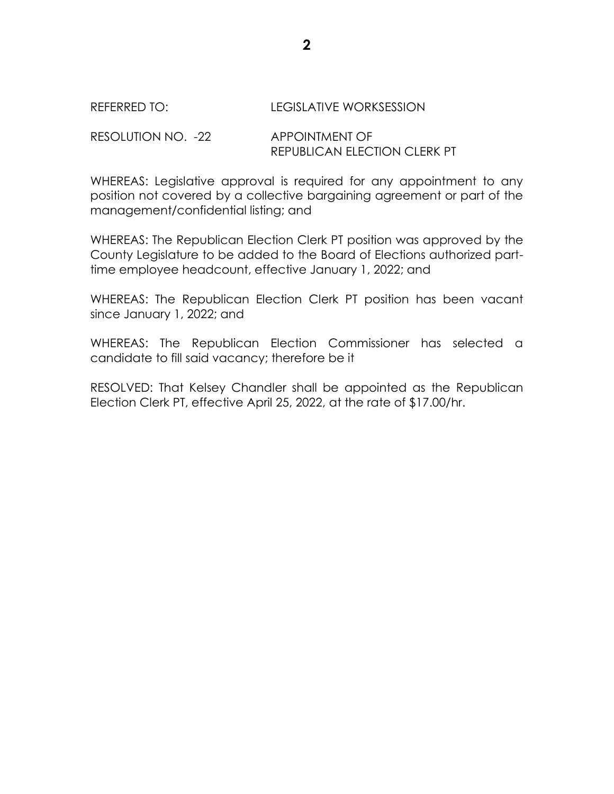## REFERRED TO: LEGISLATIVE WORKSESSION

RESOLUTION NO. -22 APPOINTMENT OF REPUBLICAN ELECTION CLERK PT

WHEREAS: Legislative approval is required for any appointment to any position not covered by a collective bargaining agreement or part of the management/confidential listing; and

WHEREAS: The Republican Election Clerk PT position was approved by the County Legislature to be added to the Board of Elections authorized parttime employee headcount, effective January 1, 2022; and

WHEREAS: The Republican Election Clerk PT position has been vacant since January 1, 2022; and

WHEREAS: The Republican Election Commissioner has selected a candidate to fill said vacancy; therefore be it

RESOLVED: That Kelsey Chandler shall be appointed as the Republican Election Clerk PT, effective April 25, 2022, at the rate of \$17.00/hr.